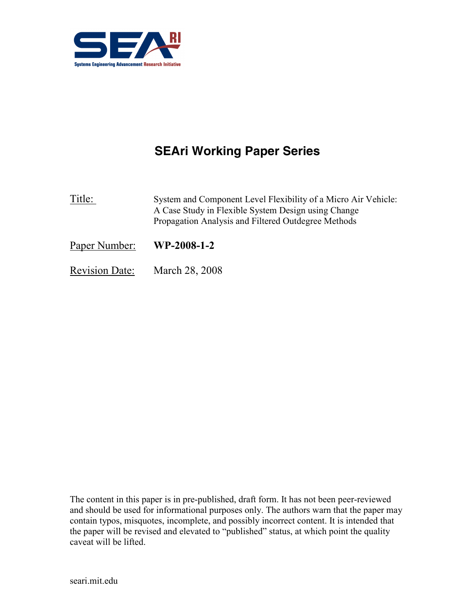

# SEAri Working Paper Series

Title: System and Component Level Flexibility of a Micro Air Vehicle: A Case Study in Flexible System Design using Change Propagation Analysis and Filtered Outdegree Methods

Paper Number: WP-2008-1-2

Revision Date: March 28, 2008

The content in this paper is in pre-published, draft form. It has not been peer-reviewed and should be used for informational purposes only. The authors warn that the paper may contain typos, misquotes, incomplete, and possibly incorrect content. It is intended that the paper will be revised and elevated to "published" status, at which point the quality caveat will be lifted.

seari.mit.edu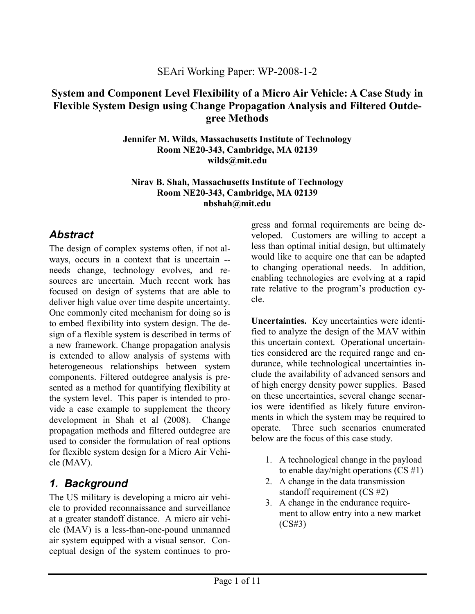#### SEAri Working Paper: WP-2008-1-2

#### System and Component Level Flexibility of a Micro Air Vehicle: A Case Study in Flexible System Design using Change Propagation Analysis and Filtered Outdegree Methods

Jennifer M. Wilds, Massachusetts Institute of Technology Room NE20-343, Cambridge, MA 02139 wilds@mit.edu

#### Nirav B. Shah, Massachusetts Institute of Technology Room NE20-343, Cambridge, MA 02139 nbshah@mit.edu

## **Abstract**

The design of complex systems often, if not always, occurs in a context that is uncertain - needs change, technology evolves, and resources are uncertain. Much recent work has focused on design of systems that are able to deliver high value over time despite uncertainty. One commonly cited mechanism for doing so is to embed flexibility into system design. The design of a flexible system is described in terms of a new framework. Change propagation analysis is extended to allow analysis of systems with heterogeneous relationships between system components. Filtered outdegree analysis is presented as a method for quantifying flexibility at the system level. This paper is intended to provide a case example to supplement the theory development in Shah et al (2008). Change propagation methods and filtered outdegree are used to consider the formulation of real options for flexible system design for a Micro Air Vehicle (MAV).

## 1. Background

The US military is developing a micro air vehicle to provided reconnaissance and surveillance at a greater standoff distance. A micro air vehicle (MAV) is a less-than-one-pound unmanned air system equipped with a visual sensor. Conceptual design of the system continues to progress and formal requirements are being developed. Customers are willing to accept a less than optimal initial design, but ultimately would like to acquire one that can be adapted to changing operational needs. In addition, enabling technologies are evolving at a rapid rate relative to the program's production cycle.

Uncertainties. Key uncertainties were identified to analyze the design of the MAV within this uncertain context. Operational uncertainties considered are the required range and endurance, while technological uncertainties include the availability of advanced sensors and of high energy density power supplies. Based on these uncertainties, several change scenarios were identified as likely future environments in which the system may be required to operate. Three such scenarios enumerated below are the focus of this case study.

- 1. A technological change in the payload to enable day/night operations  $(CS \#1)$
- 2. A change in the data transmission standoff requirement (CS #2)
- 3. A change in the endurance requirement to allow entry into a new market (CS#3)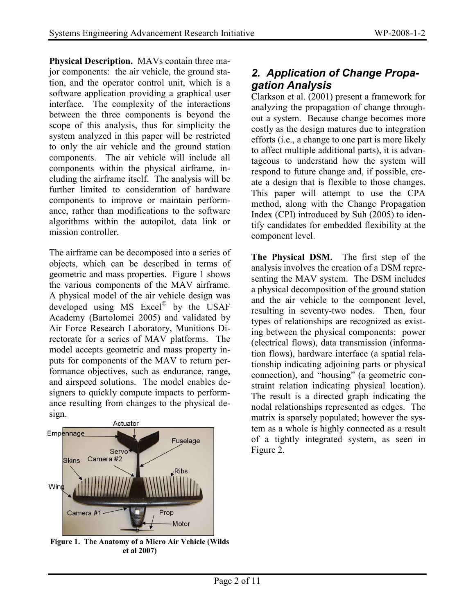Physical Description. MAVs contain three major components: the air vehicle, the ground station, and the operator control unit, which is a software application providing a graphical user interface. The complexity of the interactions between the three components is beyond the scope of this analysis, thus for simplicity the system analyzed in this paper will be restricted to only the air vehicle and the ground station components. The air vehicle will include all components within the physical airframe, including the airframe itself. The analysis will be further limited to consideration of hardware components to improve or maintain performance, rather than modifications to the software algorithms within the autopilot, data link or mission controller.

The airframe can be decomposed into a series of objects, which can be described in terms of geometric and mass properties. Figure 1 shows the various components of the MAV airframe. A physical model of the air vehicle design was developed using MS Excel<sup>®</sup> by the USAF Academy (Bartolomei 2005) and validated by Air Force Research Laboratory, Munitions Directorate for a series of MAV platforms. The model accepts geometric and mass property inputs for components of the MAV to return performance objectives, such as endurance, range, and airspeed solutions. The model enables designers to quickly compute impacts to performance resulting from changes to the physical design.



Figure 1. The Anatomy of a Micro Air Vehicle (Wilds et al 2007)

#### 2. Application of Change Propagation Analysis

Clarkson et al. (2001) present a framework for analyzing the propagation of change throughout a system. Because change becomes more costly as the design matures due to integration efforts (i.e., a change to one part is more likely to affect multiple additional parts), it is advantageous to understand how the system will respond to future change and, if possible, create a design that is flexible to those changes. This paper will attempt to use the CPA method, along with the Change Propagation Index (CPI) introduced by Suh (2005) to identify candidates for embedded flexibility at the component level.

The Physical DSM. The first step of the analysis involves the creation of a DSM representing the MAV system. The DSM includes a physical decomposition of the ground station and the air vehicle to the component level, resulting in seventy-two nodes. Then, four types of relationships are recognized as existing between the physical components: power (electrical flows), data transmission (information flows), hardware interface (a spatial relationship indicating adjoining parts or physical connection), and "housing" (a geometric constraint relation indicating physical location). The result is a directed graph indicating the nodal relationships represented as edges. The matrix is sparsely populated; however the system as a whole is highly connected as a result of a tightly integrated system, as seen in Figure 2.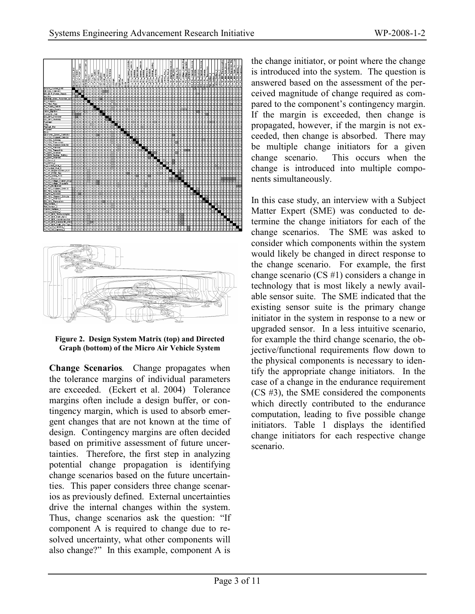

Figure 2. Design System Matrix (top) and Directed Graph (bottom) of the Micro Air Vehicle System

Change Scenarios. Change propagates when the tolerance margins of individual parameters are exceeded. (Eckert et al. 2004) Tolerance margins often include a design buffer, or contingency margin, which is used to absorb emergent changes that are not known at the time of design. Contingency margins are often decided based on primitive assessment of future uncertainties. Therefore, the first step in analyzing potential change propagation is identifying change scenarios based on the future uncertainties. This paper considers three change scenarios as previously defined. External uncertainties drive the internal changes within the system. Thus, change scenarios ask the question: "If component A is required to change due to resolved uncertainty, what other components will also change?" In this example, component A is

the change initiator, or point where the change is introduced into the system. The question is answered based on the assessment of the perceived magnitude of change required as compared to the component's contingency margin. If the margin is exceeded, then change is propagated, however, if the margin is not exceeded, then change is absorbed. There may be multiple change initiators for a given change scenario. This occurs when the change is introduced into multiple components simultaneously.

In this case study, an interview with a Subject Matter Expert (SME) was conducted to determine the change initiators for each of the change scenarios. The SME was asked to consider which components within the system would likely be changed in direct response to the change scenario. For example, the first change scenario (CS #1) considers a change in technology that is most likely a newly available sensor suite. The SME indicated that the existing sensor suite is the primary change initiator in the system in response to a new or upgraded sensor. In a less intuitive scenario, for example the third change scenario, the objective/functional requirements flow down to the physical components is necessary to identify the appropriate change initiators. In the case of a change in the endurance requirement (CS #3), the SME considered the components which directly contributed to the endurance computation, leading to five possible change initiators. Table 1 displays the identified change initiators for each respective change scenario.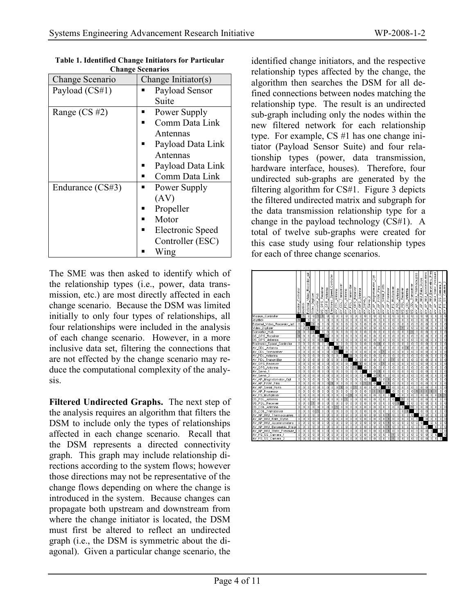| CHANGE DUCHALIUS |                     |
|------------------|---------------------|
| Change Scenario  | Change Initiator(s) |
| Payload (CS#1)   | Payload Sensor      |
|                  | Suite               |
| Range $(CS \#2)$ | Power Supply        |
|                  | Comm Data Link      |
|                  | Antennas            |
|                  | Payload Data Link   |
|                  | Antennas            |
|                  | Payload Data Link   |
|                  | Comm Data Link      |
| Endurance (CS#3) | Power Supply        |
|                  | (AV)                |
|                  | Propeller           |
|                  | Motor               |
|                  | Electronic Speed    |
|                  | Controller (ESC)    |
|                  | Wing                |

Table 1. Identified Change Initiators for Particular Change Scenarios

The SME was then asked to identify which of the relationship types (i.e., power, data transmission, etc.) are most directly affected in each change scenario. Because the DSM was limited initially to only four types of relationships, all four relationships were included in the analysis of each change scenario. However, in a more inclusive data set, filtering the connections that are not effected by the change scenario may reduce the computational complexity of the analysis.

Filtered Undirected Graphs. The next step of the analysis requires an algorithm that filters the DSM to include only the types of relationships affected in each change scenario. Recall that the DSM represents a directed connectivity graph. This graph may include relationship directions according to the system flows; however those directions may not be representative of the change flows depending on where the change is introduced in the system. Because changes can propagate both upstream and downstream from where the change initiator is located, the DSM must first be altered to reflect an undirected graph (i.e., the DSM is symmetric about the diagonal). Given a particular change scenario, the

identified change initiators, and the respective relationship types affected by the change, the algorithm then searches the DSM for all defined connections between nodes matching the relationship type. The result is an undirected sub-graph including only the nodes within the new filtered network for each relationship type. For example, CS #1 has one change initiator (Payload Sensor Suite) and four relationship types (power, data transmission, hardware interface, houses). Therefore, four undirected sub-graphs are generated by the filtering algorithm for CS#1. Figure 3 depicts the filtered undirected matrix and subgraph for the data transmission relationship type for a change in the payload technology (CS#1). A total of twelve sub-graphs were created for this case study using four relationship types for each of three change scenarios.

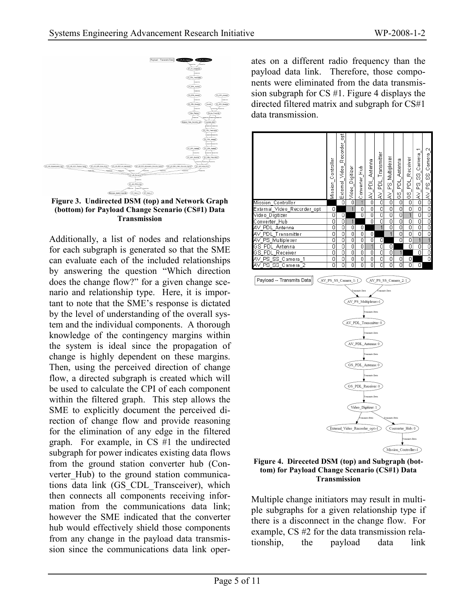

Figure 3. Undirected DSM (top) and Network Graph (bottom) for Payload Change Scenario (CS#1) Data Transmission

Additionally, a list of nodes and relationships for each subgraph is generated so that the SME can evaluate each of the included relationships by answering the question "Which direction does the change flow?" for a given change scenario and relationship type. Here, it is important to note that the SME's response is dictated by the level of understanding of the overall system and the individual components. A thorough knowledge of the contingency margins within the system is ideal since the propagation of change is highly dependent on these margins. Then, using the perceived direction of change flow, a directed subgraph is created which will be used to calculate the CPI of each component within the filtered graph. This step allows the SME to explicitly document the perceived direction of change flow and provide reasoning for the elimination of any edge in the filtered graph. For example, in CS #1 the undirected subgraph for power indicates existing data flows from the ground station converter hub (Converter Hub) to the ground station communications data link (GS\_CDL\_Transceiver), which then connects all components receiving information from the communications data link; however the SME indicated that the converter hub would effectively shield those components from any change in the payload data transmission since the communications data link oper-

ates on a different radio frequency than the payload data link. Therefore, those components were eliminated from the data transmission subgraph for CS #1. Figure 4 displays the directed filtered matrix and subgraph for CS#1 data transmission.



Figure 4. Direceted DSM (top) and Subgraph (bottom) for Payload Change Scenario (CS#1) Data Transmission

Multiple change initiators may result in multiple subgraphs for a given relationship type if there is a disconnect in the change flow. For example, CS #2 for the data transmission relationship, the payload data link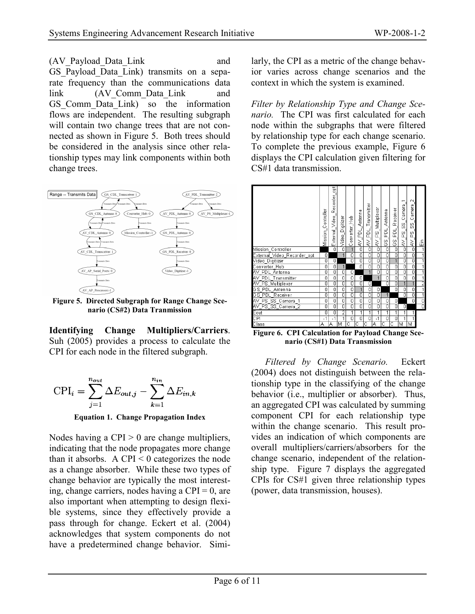(AV\_Payload\_Data\_Link and GS Payload Data Link) transmits on a separate frequency than the communications data link (AV\_Comm\_Data\_Link and GS Comm Data Link) so the information flows are independent. The resulting subgraph will contain two change trees that are not connected as shown in Figure 5. Both trees should be considered in the analysis since other relationship types may link components within both change trees.



Figure 5. Directed Subgraph for Range Change Scenario (CS#2) Data Tranmission

Identifying Change Multipliers/Carriers. Suh (2005) provides a process to calculate the CPI for each node in the filtered subgraph.

$$
CPI_i = \sum_{j=1}^{n_{out}} \Delta E_{out,j} - \sum_{k=1}^{n_{in}} \Delta E_{in,k}
$$

Equation 1. Change Propagation Index

Nodes having a CPI  $> 0$  are change multipliers, indicating that the node propagates more change than it absorbs. A CPI  $\leq 0$  categorizes the node as a change absorber. While these two types of change behavior are typically the most interesting, change carriers, nodes having a  $CPI = 0$ , are also important when attempting to design flexible systems, since they effectively provide a pass through for change. Eckert et al. (2004) acknowledges that system components do not have a predetermined change behavior. Similarly, the CPI as a metric of the change behavior varies across change scenarios and the context in which the system is examined.

Filter by Relationship Type and Change Scenario. The CPI was first calculated for each node within the subgraphs that were filtered by relationship type for each change scenario. To complete the previous example, Figure 6 displays the CPI calculation given filtering for CS#1 data transmission.



Figure 6. CPI Calculation for Payload Change Scenario (CS#1) Data Transmission

Filtered by Change Scenario. Eckert (2004) does not distinguish between the relationship type in the classifying of the change behavior (i.e., multiplier or absorber). Thus, an aggregated CPI was calculated by summing component CPI for each relationship type within the change scenario. This result provides an indication of which components are overall multipliers/carriers/absorbers for the change scenario, independent of the relationship type. Figure 7 displays the aggregated CPIs for CS#1 given three relationship types (power, data transmission, houses).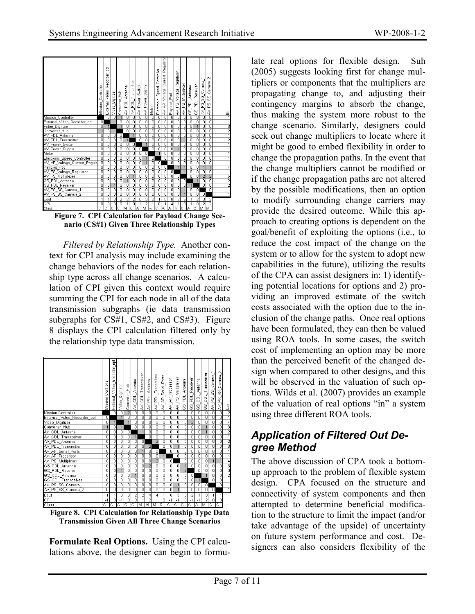

nario (CS#1) Given Three Relationship Types

Filtered by Relationship Type. Another context for CPI analysis may include examining the change behaviors of the nodes for each relationship type across all change scenarios. A calculation of CPI given this context would require summing the CPI for each node in all of the data transmission subgraphs (ie data transmission subgraphs for CS#1, CS#2, and CS#3). Figure 8 displays the CPI calculation filtered only by the relationship type data transmission.



Transmission Given All Three Change Scenarios

Formulate Real Options. Using the CPI calculations above, the designer can begin to formulate real options for flexible design. Suh (2005) suggests looking first for change multipliers or components that the multipliers are propagating change to, and adjusting their contingency margins to absorb the change, thus making the system more robust to the change scenario. Similarly, designers could seek out change multipliers to locate where it might be good to embed flexibility in order to change the propagation paths. In the event that the change multipliers cannot be modified or if the change propagation paths are not altered by the possible modifications, then an option to modify surrounding change carriers may provide the desired outcome. While this approach to creating options is dependent on the goal/benefit of exploiting the options (i.e., to reduce the cost impact of the change on the system or to allow for the system to adopt new capabilities in the future), utilizing the results of the CPA can assist designers in: 1) identifying potential locations for options and 2) providing an improved estimate of the switch costs associated with the option due to the inclusion of the change paths. Once real options have been formulated, they can then be valued using ROA tools. In some cases, the switch cost of implementing an option may be more than the perceived benefit of the changed design when compared to other designs, and this will be observed in the valuation of such options. Wilds et al. (2007) provides an example of the valuation of real options "in" a system using three different ROA tools.

#### Application of Filtered Out Degree Method

The above discussion of CPA took a bottomup approach to the problem of flexible system design. CPA focused on the structure and connectivity of system components and then attempted to determine beneficial modification to the structure to limit the impact (and/or take advantage of the upside) of uncertainty on future system performance and cost. Designers can also considers flexibility of the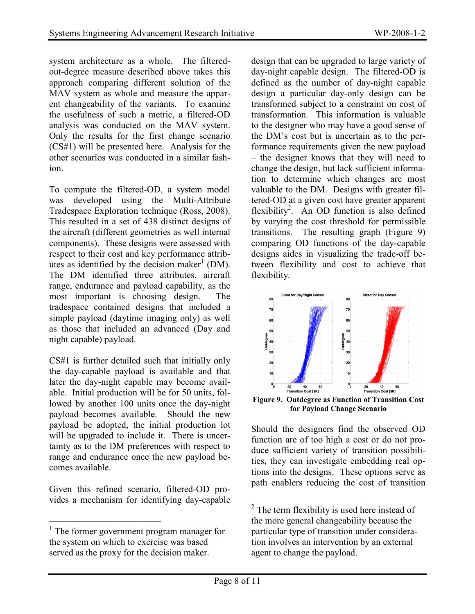system architecture as a whole. The filteredout-degree measure described above takes this approach comparing different solution of the MAV system as whole and measure the apparent changeability of the variants. To examine the usefulness of such a metric, a filtered-OD analysis was conducted on the MAV system. Only the results for the first change scenario (CS#1) will be presented here. Analysis for the other scenarios was conducted in a similar fashion.

To compute the filtered-OD, a system model was developed using the Multi-Attribute Tradespace Exploration technique (Ross, 2008). This resulted in a set of 438 distinct designs of the aircraft (different geometries as well internal components). These designs were assessed with respect to their cost and key performance attributes as identified by the decision maker<sup>1</sup> (DM). The DM identified three attributes, aircraft range, endurance and payload capability, as the most important is choosing design. The tradespace contained designs that included a simple payload (daytime imaging only) as well as those that included an advanced (Day and night capable) payload.

CS#1 is further detailed such that initially only the day-capable payload is available and that later the day-night capable may become available. Initial production will be for 50 units, followed by another 100 units once the day-night payload becomes available. Should the new payload be adopted, the initial production lot will be upgraded to include it. There is uncertainty as to the DM preferences with respect to range and endurance once the new payload becomes available.

Given this refined scenario, filtered-OD provides a mechanism for identifying day-capable design that can be upgraded to large variety of day-night capable design. The filtered-OD is defined as the number of day-night capable design a particular day-only design can be transformed subject to a constraint on cost of transformation. This information is valuable to the designer who may have a good sense of the DM's cost but is uncertain as to the performance requirements given the new payload – the designer knows that they will need to change the design, but lack sufficient information to determine which changes are most valuable to the DM. Designs with greater filtered-OD at a given cost have greater apparent flexibility<sup>2</sup>. An OD function is also defined by varying the cost threshold for permissible transitions. The resulting graph (Figure 9) comparing OD functions of the day-capable designs aides in visualizing the trade-off between flexibility and cost to achieve that flexibility.



Figure 9. Outdegree as Function of Transition Cost for Payload Change Scenario

Should the designers find the observed OD function are of too high a cost or do not produce sufficient variety of transition possibilities, they can investigate embedding real options into the designs. These options serve as path enablers reducing the cost of transition

 $\overline{a}$ <sup>1</sup> The former government program manager for the system on which to exercise was based served as the proxy for the decision maker.

 $\overline{a}$  $2^2$  The term flexibility is used here instead of the more general changeability because the particular type of transition under consideration involves an intervention by an external agent to change the payload.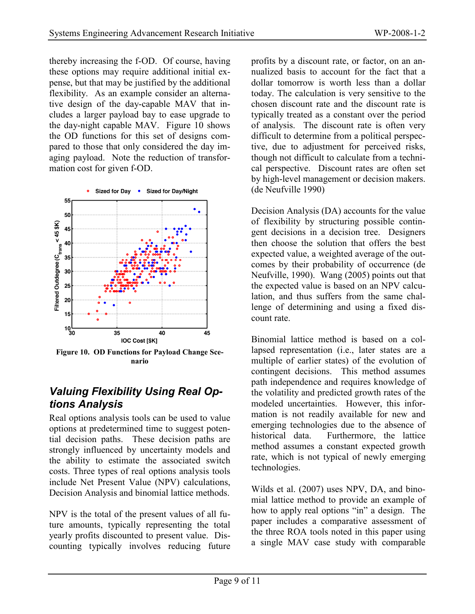thereby increasing the f-OD. Of course, having these options may require additional initial expense, but that may be justified by the additional flexibility. As an example consider an alternative design of the day-capable MAV that includes a larger payload bay to ease upgrade to the day-night capable MAV. Figure 10 shows the OD functions for this set of designs compared to those that only considered the day imaging payload. Note the reduction of transformation cost for given f-OD.



Figure 10. OD Functions for Payload Change Scenario

#### Valuing Flexibility Using Real Options Analysis

Real options analysis tools can be used to value options at predetermined time to suggest potential decision paths. These decision paths are strongly influenced by uncertainty models and the ability to estimate the associated switch costs. Three types of real options analysis tools include Net Present Value (NPV) calculations, Decision Analysis and binomial lattice methods.

NPV is the total of the present values of all future amounts, typically representing the total yearly profits discounted to present value. Discounting typically involves reducing future profits by a discount rate, or factor, on an annualized basis to account for the fact that a dollar tomorrow is worth less than a dollar today. The calculation is very sensitive to the chosen discount rate and the discount rate is typically treated as a constant over the period of analysis. The discount rate is often very difficult to determine from a political perspective, due to adjustment for perceived risks, though not difficult to calculate from a technical perspective. Discount rates are often set by high-level management or decision makers. (de Neufville 1990)

Decision Analysis (DA) accounts for the value of flexibility by structuring possible contingent decisions in a decision tree. Designers then choose the solution that offers the best expected value, a weighted average of the outcomes by their probability of occurrence (de Neufville, 1990). Wang (2005) points out that the expected value is based on an NPV calculation, and thus suffers from the same challenge of determining and using a fixed discount rate.

Binomial lattice method is based on a collapsed representation (i.e., later states are a multiple of earlier states) of the evolution of contingent decisions. This method assumes path independence and requires knowledge of the volatility and predicted growth rates of the modeled uncertainties. However, this information is not readily available for new and emerging technologies due to the absence of historical data. Furthermore, the lattice method assumes a constant expected growth rate, which is not typical of newly emerging technologies.

Wilds et al. (2007) uses NPV, DA, and binomial lattice method to provide an example of how to apply real options "in" a design. The paper includes a comparative assessment of the three ROA tools noted in this paper using a single MAV case study with comparable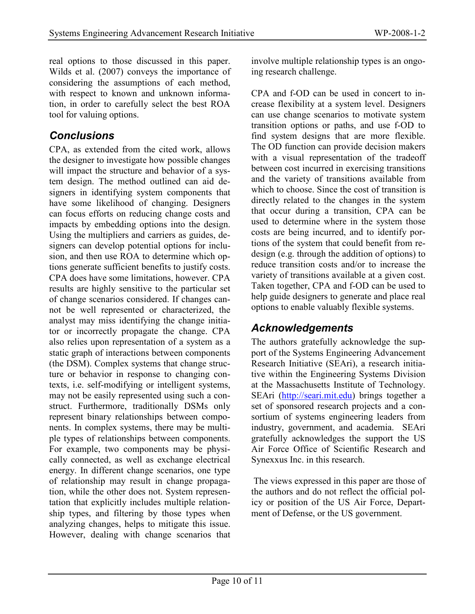real options to those discussed in this paper. Wilds et al. (2007) conveys the importance of considering the assumptions of each method, with respect to known and unknown information, in order to carefully select the best ROA tool for valuing options.

#### **Conclusions**

CPA, as extended from the cited work, allows the designer to investigate how possible changes will impact the structure and behavior of a system design. The method outlined can aid designers in identifying system components that have some likelihood of changing. Designers can focus efforts on reducing change costs and impacts by embedding options into the design. Using the multipliers and carriers as guides, designers can develop potential options for inclusion, and then use ROA to determine which options generate sufficient benefits to justify costs. CPA does have some limitations, however. CPA results are highly sensitive to the particular set of change scenarios considered. If changes cannot be well represented or characterized, the analyst may miss identifying the change initiator or incorrectly propagate the change. CPA also relies upon representation of a system as a static graph of interactions between components (the DSM). Complex systems that change structure or behavior in response to changing contexts, i.e. self-modifying or intelligent systems, may not be easily represented using such a construct. Furthermore, traditionally DSMs only represent binary relationships between components. In complex systems, there may be multiple types of relationships between components. For example, two components may be physically connected, as well as exchange electrical energy. In different change scenarios, one type of relationship may result in change propagation, while the other does not. System representation that explicitly includes multiple relationship types, and filtering by those types when analyzing changes, helps to mitigate this issue. However, dealing with change scenarios that involve multiple relationship types is an ongoing research challenge.

CPA and f-OD can be used in concert to increase flexibility at a system level. Designers can use change scenarios to motivate system transition options or paths, and use f-OD to find system designs that are more flexible. The OD function can provide decision makers with a visual representation of the tradeoff between cost incurred in exercising transitions and the variety of transitions available from which to choose. Since the cost of transition is directly related to the changes in the system that occur during a transition, CPA can be used to determine where in the system those costs are being incurred, and to identify portions of the system that could benefit from redesign (e.g. through the addition of options) to reduce transition costs and/or to increase the variety of transitions available at a given cost. Taken together, CPA and f-OD can be used to help guide designers to generate and place real options to enable valuably flexible systems.

#### Acknowledgements

The authors gratefully acknowledge the support of the Systems Engineering Advancement Research Initiative (SEAri), a research initiative within the Engineering Systems Division at the Massachusetts Institute of Technology. SEAri (http://seari.mit.edu) brings together a set of sponsored research projects and a consortium of systems engineering leaders from industry, government, and academia. SEAri gratefully acknowledges the support the US Air Force Office of Scientific Research and Synexxus Inc. in this research.

 The views expressed in this paper are those of the authors and do not reflect the official policy or position of the US Air Force, Department of Defense, or the US government.